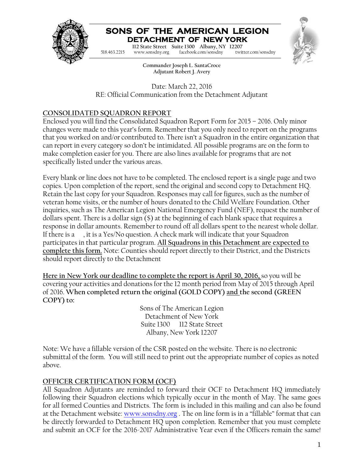

## **SONS OF THE AMERICAN LEGION DETACHMENT OF NEW YORK**

**Commander Charles M. Depo 112 State Street Suite 1300 Albany, NY 12207** facebook.com/sonsdny 518.463.2215 www.sonsdny.org facebook.com/sonsdny twitter.com/sonsdny



**Commander Joseph L. SantaCroce Adjutant Robert J. Avery**

Date: March 22, 2016 RE: Official Communication from the Detachment Adjutant

### **CONSOLIDATED SQUADRON REPORT**

Enclosed you will find the Consolidated Squadron Report Form for 2015 – 2016. Only minor changes were made to this year's form. Remember that you only need to report on the programs that you worked on and/or contributed to. There isn't a Squadron in the entire organization that can report in every category so don't be intimidated. All possible programs are on the form to make completion easier for you. There are also lines available for programs that are not specifically listed under the various areas.

Every blank or line does not have to be completed. The enclosed report is a single page and two copies. Upon completion of the report, send the original and second copy to Detachment HQ. Retain the last copy for your Squadron. Responses may call for figures, such as the number of veteran home visits, or the number of hours donated to the Child Welfare Foundation. Other inquiries, such as The American Legion National Emergency Fund (NEF), request the number of dollars spent. There is a dollar sign (\$) at the beginning of each blank space that requires a response in dollar amounts. Remember to round off all dollars spent to the nearest whole dollar. If there is a , it is a Yes/No question. A check mark will indicate that your Squadron participates in that particular program. **All Squadrons in this Detachment are expected to complete this form.** Note: Counties should report directly to their District, and the Districts should report directly to the Detachment

**Here in New York our deadline to complete the report is April 30, 2016,** so you will be covering your activities and donations for the 12 month period from May of 2015 through April of 2016. **When completed return the original (GOLD COPY) and the second (GREEN COPY) to:**

> Sons of The American Legion Detachment of New York Suite 1300 112 State Street Albany, New York 12207

Note: We have a fillable version of the CSR posted on the website. There is no electronic submittal of the form. You will still need to print out the appropriate number of copies as noted above.

#### **OFFICER CERTIFICATION FORM (OCF)**

All Squadron Adjutants are reminded to forward their OCF to Detachment HQ immediately following their Squadron elections which typically occur in the month of May. The same goes for all formed Counties and Districts. The form is included in this mailing and can also be found at the Detachment website: www.sonsdny.org. The on line form is in a "fillable" format that can be directly forwarded to Detachment HQ upon completion. Remember that you must complete and submit an OCF for the 2016-2017 Administrative Year even if the Officers remain the same!